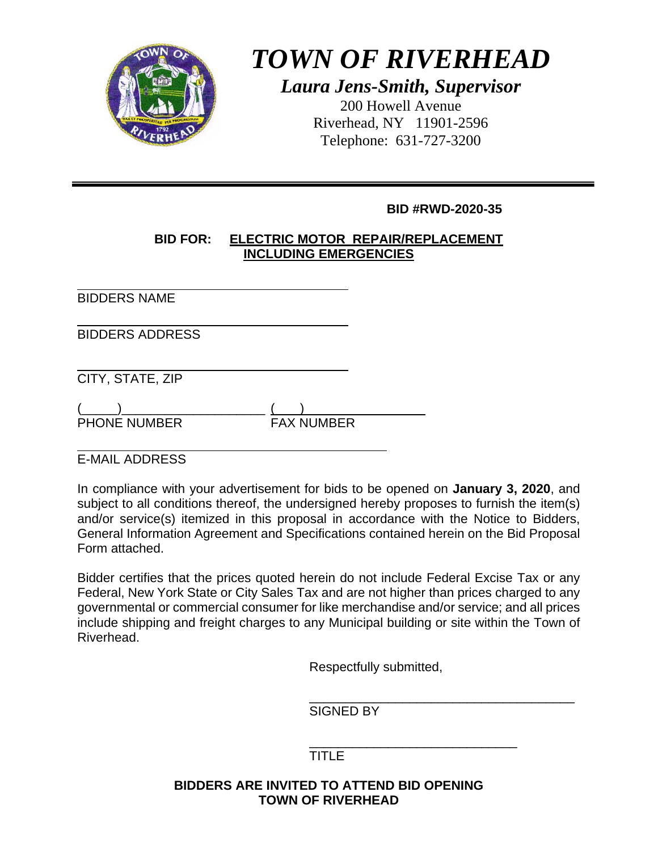

# *TOWN OF RIVERHEAD*

*Laura Jens-Smith, Supervisor*  200 Howell Avenue Riverhead, NY 11901-2596 Telephone: 631-727-3200

#### **BID #RWD-2020-35**

#### **BID FOR: ELECTRIC MOTOR REPAIR/REPLACEMENT INCLUDING EMERGENCIES**

l BIDDERS NAME

l BIDDERS ADDRESS

l CITY, STATE, ZIP

| <b>PHONE NUMBER</b> |  | <b>FAX NUMBER</b> |
|---------------------|--|-------------------|

l E-MAIL ADDRESS

In compliance with your advertisement for bids to be opened on **January 3, 2020**, and subject to all conditions thereof, the undersigned hereby proposes to furnish the item(s) and/or service(s) itemized in this proposal in accordance with the Notice to Bidders, General Information Agreement and Specifications contained herein on the Bid Proposal Form attached.

Bidder certifies that the prices quoted herein do not include Federal Excise Tax or any Federal, New York State or City Sales Tax and are not higher than prices charged to any governmental or commercial consumer for like merchandise and/or service; and all prices include shipping and freight charges to any Municipal building or site within the Town of Riverhead.

Respectfully submitted,

 $\overline{\phantom{a}}$  , which is a set of the set of the set of the set of the set of the set of the set of the set of the set of the set of the set of the set of the set of the set of the set of the set of the set of the set of th SIGNED BY

 $\frac{1}{\sqrt{2\pi}}$  ,  $\frac{1}{\sqrt{2\pi}}$  ,  $\frac{1}{\sqrt{2\pi}}$  ,  $\frac{1}{\sqrt{2\pi}}$  ,  $\frac{1}{\sqrt{2\pi}}$  ,  $\frac{1}{\sqrt{2\pi}}$  ,  $\frac{1}{\sqrt{2\pi}}$  ,  $\frac{1}{\sqrt{2\pi}}$  ,  $\frac{1}{\sqrt{2\pi}}$  ,  $\frac{1}{\sqrt{2\pi}}$  ,  $\frac{1}{\sqrt{2\pi}}$  ,  $\frac{1}{\sqrt{2\pi}}$  ,  $\frac{1}{\sqrt{2\pi}}$  , TITLE

#### **BIDDERS ARE INVITED TO ATTEND BID OPENING TOWN OF RIVERHEAD**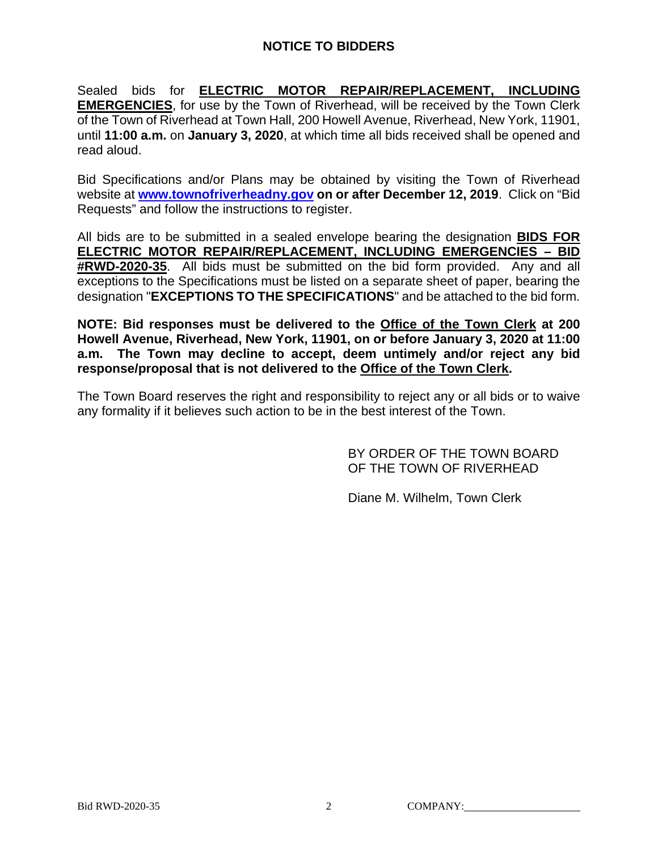#### **NOTICE TO BIDDERS**

Sealed bids for **ELECTRIC MOTOR REPAIR/REPLACEMENT, INCLUDING EMERGENCIES**, for use by the Town of Riverhead, will be received by the Town Clerk of the Town of Riverhead at Town Hall, 200 Howell Avenue, Riverhead, New York, 11901, until **11:00 a.m.** on **January 3, 2020**, at which time all bids received shall be opened and read aloud.

Bid Specifications and/or Plans may be obtained by visiting the Town of Riverhead website at **www.townofriverheadny.gov on or after December 12, 2019**. Click on "Bid Requests" and follow the instructions to register.

All bids are to be submitted in a sealed envelope bearing the designation **BIDS FOR ELECTRIC MOTOR REPAIR/REPLACEMENT, INCLUDING EMERGENCIES – BID #RWD-2020-35**. All bids must be submitted on the bid form provided. Any and all exceptions to the Specifications must be listed on a separate sheet of paper, bearing the designation "**EXCEPTIONS TO THE SPECIFICATIONS**" and be attached to the bid form.

**NOTE: Bid responses must be delivered to the Office of the Town Clerk at 200 Howell Avenue, Riverhead, New York, 11901, on or before January 3, 2020 at 11:00 a.m. The Town may decline to accept, deem untimely and/or reject any bid response/proposal that is not delivered to the Office of the Town Clerk.**

The Town Board reserves the right and responsibility to reject any or all bids or to waive any formality if it believes such action to be in the best interest of the Town.

> BY ORDER OF THE TOWN BOARD OF THE TOWN OF RIVERHEAD

Diane M. Wilhelm, Town Clerk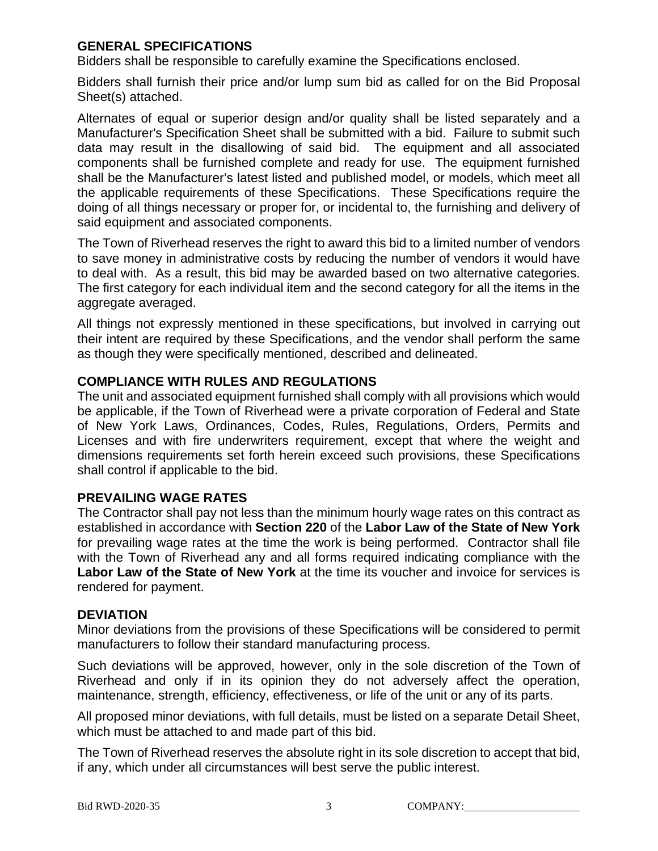#### **GENERAL SPECIFICATIONS**

Bidders shall be responsible to carefully examine the Specifications enclosed.

Bidders shall furnish their price and/or lump sum bid as called for on the Bid Proposal Sheet(s) attached.

Alternates of equal or superior design and/or quality shall be listed separately and a Manufacturer's Specification Sheet shall be submitted with a bid. Failure to submit such data may result in the disallowing of said bid. The equipment and all associated components shall be furnished complete and ready for use. The equipment furnished shall be the Manufacturer's latest listed and published model, or models, which meet all the applicable requirements of these Specifications. These Specifications require the doing of all things necessary or proper for, or incidental to, the furnishing and delivery of said equipment and associated components.

The Town of Riverhead reserves the right to award this bid to a limited number of vendors to save money in administrative costs by reducing the number of vendors it would have to deal with. As a result, this bid may be awarded based on two alternative categories. The first category for each individual item and the second category for all the items in the aggregate averaged.

All things not expressly mentioned in these specifications, but involved in carrying out their intent are required by these Specifications, and the vendor shall perform the same as though they were specifically mentioned, described and delineated.

#### **COMPLIANCE WITH RULES AND REGULATIONS**

The unit and associated equipment furnished shall comply with all provisions which would be applicable, if the Town of Riverhead were a private corporation of Federal and State of New York Laws, Ordinances, Codes, Rules, Regulations, Orders, Permits and Licenses and with fire underwriters requirement, except that where the weight and dimensions requirements set forth herein exceed such provisions, these Specifications shall control if applicable to the bid.

#### **PREVAILING WAGE RATES**

The Contractor shall pay not less than the minimum hourly wage rates on this contract as established in accordance with **Section 220** of the **Labor Law of the State of New York** for prevailing wage rates at the time the work is being performed. Contractor shall file with the Town of Riverhead any and all forms required indicating compliance with the **Labor Law of the State of New York** at the time its voucher and invoice for services is rendered for payment.

#### **DEVIATION**

Minor deviations from the provisions of these Specifications will be considered to permit manufacturers to follow their standard manufacturing process.

Such deviations will be approved, however, only in the sole discretion of the Town of Riverhead and only if in its opinion they do not adversely affect the operation, maintenance, strength, efficiency, effectiveness, or life of the unit or any of its parts.

All proposed minor deviations, with full details, must be listed on a separate Detail Sheet, which must be attached to and made part of this bid.

The Town of Riverhead reserves the absolute right in its sole discretion to accept that bid, if any, which under all circumstances will best serve the public interest.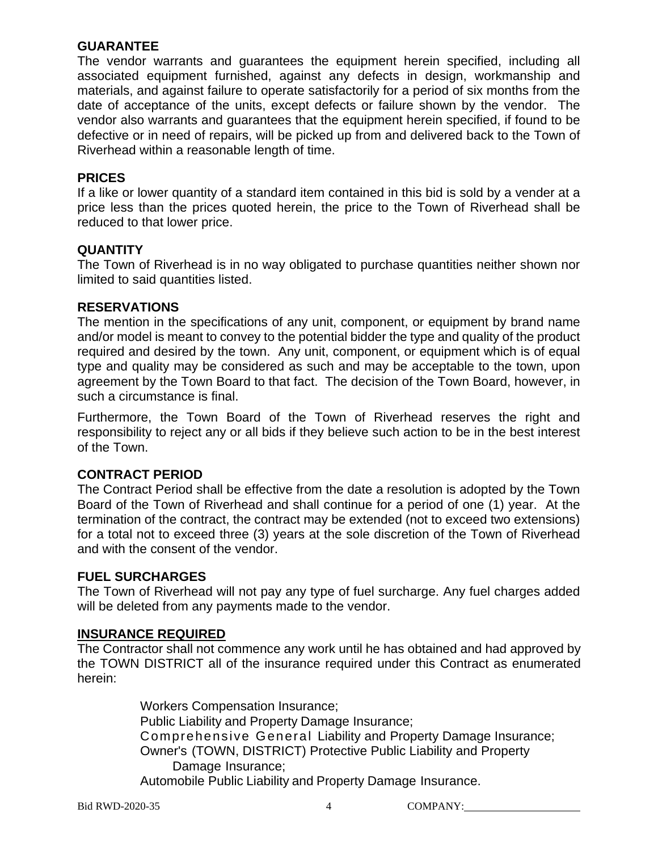#### **GUARANTEE**

The vendor warrants and guarantees the equipment herein specified, including all associated equipment furnished, against any defects in design, workmanship and materials, and against failure to operate satisfactorily for a period of six months from the date of acceptance of the units, except defects or failure shown by the vendor. The vendor also warrants and guarantees that the equipment herein specified, if found to be defective or in need of repairs, will be picked up from and delivered back to the Town of Riverhead within a reasonable length of time.

#### **PRICES**

If a like or lower quantity of a standard item contained in this bid is sold by a vender at a price less than the prices quoted herein, the price to the Town of Riverhead shall be reduced to that lower price.

#### **QUANTITY**

The Town of Riverhead is in no way obligated to purchase quantities neither shown nor limited to said quantities listed.

#### **RESERVATIONS**

The mention in the specifications of any unit, component, or equipment by brand name and/or model is meant to convey to the potential bidder the type and quality of the product required and desired by the town. Any unit, component, or equipment which is of equal type and quality may be considered as such and may be acceptable to the town, upon agreement by the Town Board to that fact. The decision of the Town Board, however, in such a circumstance is final.

Furthermore, the Town Board of the Town of Riverhead reserves the right and responsibility to reject any or all bids if they believe such action to be in the best interest of the Town.

#### **CONTRACT PERIOD**

The Contract Period shall be effective from the date a resolution is adopted by the Town Board of the Town of Riverhead and shall continue for a period of one (1) year. At the termination of the contract, the contract may be extended (not to exceed two extensions) for a total not to exceed three (3) years at the sole discretion of the Town of Riverhead and with the consent of the vendor.

#### **FUEL SURCHARGES**

The Town of Riverhead will not pay any type of fuel surcharge. Any fuel charges added will be deleted from any payments made to the vendor.

#### **INSURANCE REQUIRED**

The Contractor shall not commence any work until he has obtained and had approved by the TOWN DISTRICT all of the insurance required under this Contract as enumerated herein:

> Workers Compensation Insurance; Public Liability and Property Damage Insurance; Comprehensive General Liability and Property Damage Insurance; Owner's (TOWN, DISTRICT) Protective Public Liability and Property Damage Insurance; Automobile Public Liability and Property Damage Insurance.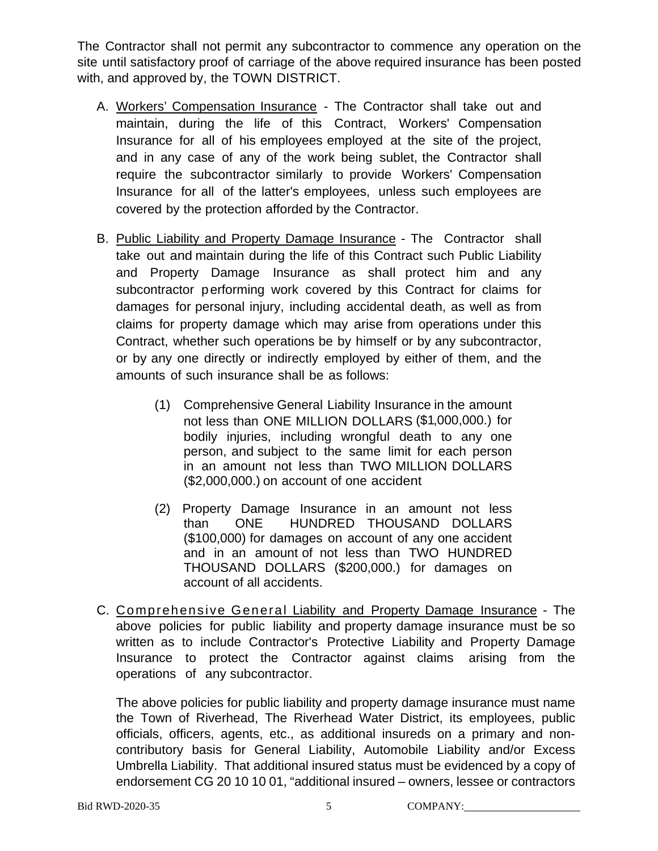The Contractor shall not permit any subcontractor to commence any operation on the site until satisfactory proof of carriage of the above required insurance has been posted with, and approved by, the TOWN DISTRICT.

- A. Workers' Compensation Insurance The Contractor shall take out and maintain, during the life of this Contract, Workers' Compensation Insurance for all of his employees employed at the site of the project, and in any case of any of the work being sublet, the Contractor shall require the subcontractor similarly to provide Workers' Compensation Insurance for all of the latter's employees, unless such employees are covered by the protection afforded by the Contractor.
- B. Public Liability and Property Damage Insurance The Contractor shall take out and maintain during the life of this Contract such Public Liability and Property Damage Insurance as shall protect him and any subcontractor performing work covered by this Contract for claims for damages for personal injury, including accidental death, as well as from claims for property damage which may arise from operations under this Contract, whether such operations be by himself or by any subcontractor, or by any one directly or indirectly employed by either of them, and the amounts of such insurance shall be as follows:
	- (1) Comprehensive General Liability Insurance in the amount not less than ONE MILLION DOLLARS (\$1,000,000.) for bodily injuries, including wrongful death to any one person, and subject to the same limit for each person in an amount not less than TWO MILLION DOLLARS (\$2,000,000.) on account of one accident
	- (2) Property Damage Insurance in an amount not less than ONE HUNDRED THOUSAND DOLLARS (\$100,000) for damages on account of any one accident and in an amount of not less than TWO HUNDRED THOUSAND DOLLARS (\$200,000.) for damages on account of all accidents.
- C. Comprehensive General Liability and Property Damage Insurance The above policies for public liability and property damage insurance must be so written as to include Contractor's Protective Liability and Property Damage Insurance to protect the Contractor against claims arising from the operations of any subcontractor.

The above policies for public liability and property damage insurance must name the Town of Riverhead, The Riverhead Water District, its employees, public officials, officers, agents, etc., as additional insureds on a primary and noncontributory basis for General Liability, Automobile Liability and/or Excess Umbrella Liability. That additional insured status must be evidenced by a copy of endorsement CG 20 10 10 01, "additional insured – owners, lessee or contractors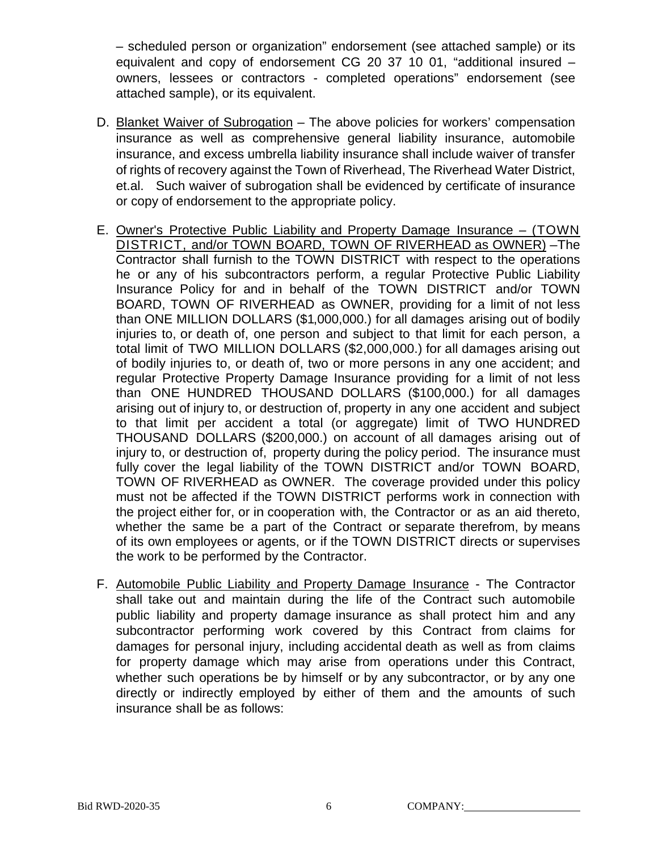– scheduled person or organization" endorsement (see attached sample) or its equivalent and copy of endorsement CG 20 37 10 01, "additional insured – owners, lessees or contractors - completed operations" endorsement (see attached sample), or its equivalent.

- D. Blanket Waiver of Subrogation The above policies for workers' compensation insurance as well as comprehensive general liability insurance, automobile insurance, and excess umbrella liability insurance shall include waiver of transfer of rights of recovery against the Town of Riverhead, The Riverhead Water District, et.al. Such waiver of subrogation shall be evidenced by certificate of insurance or copy of endorsement to the appropriate policy.
- E. Owner's Protective Public Liability and Property Damage Insurance (TOWN DISTRICT, and/or TOWN BOARD, TOWN OF RIVERHEAD as OWNER) –The Contractor shall furnish to the TOWN DISTRICT with respect to the operations he or any of his subcontractors perform, a regular Protective Public Liability Insurance Policy for and in behalf of the TOWN DISTRICT and/or TOWN BOARD, TOWN OF RIVERHEAD as OWNER, providing for a limit of not less than ONE MILLION DOLLARS (\$1,000,000.) for all damages arising out of bodily injuries to, or death of, one person and subject to that limit for each person, a total limit of TWO MILLION DOLLARS (\$2,000,000.) for all damages arising out of bodily injuries to, or death of, two or more persons in any one accident; and regular Protective Property Damage Insurance providing for a limit of not less than ONE HUNDRED THOUSAND DOLLARS (\$100,000.) for all damages arising out of injury to, or destruction of, property in any one accident and subject to that limit per accident a total (or aggregate) limit of TWO HUNDRED THOUSAND DOLLARS (\$200,000.) on account of all damages arising out of injury to, or destruction of, property during the policy period. The insurance must fully cover the legal liability of the TOWN DISTRICT and/or TOWN BOARD, TOWN OF RIVERHEAD as OWNER. The coverage provided under this policy must not be affected if the TOWN DISTRICT performs work in connection with the project either for, or in cooperation with, the Contractor or as an aid thereto, whether the same be a part of the Contract or separate therefrom, by means of its own employees or agents, or if the TOWN DISTRICT directs or supervises the work to be performed by the Contractor.
- F. Automobile Public Liability and Property Damage Insurance The Contractor shall take out and maintain during the life of the Contract such automobile public liability and property damage insurance as shall protect him and any subcontractor performing work covered by this Contract from claims for damages for personal injury, including accidental death as well as from claims for property damage which may arise from operations under this Contract, whether such operations be by himself or by any subcontractor, or by any one directly or indirectly employed by either of them and the amounts of such insurance shall be as follows: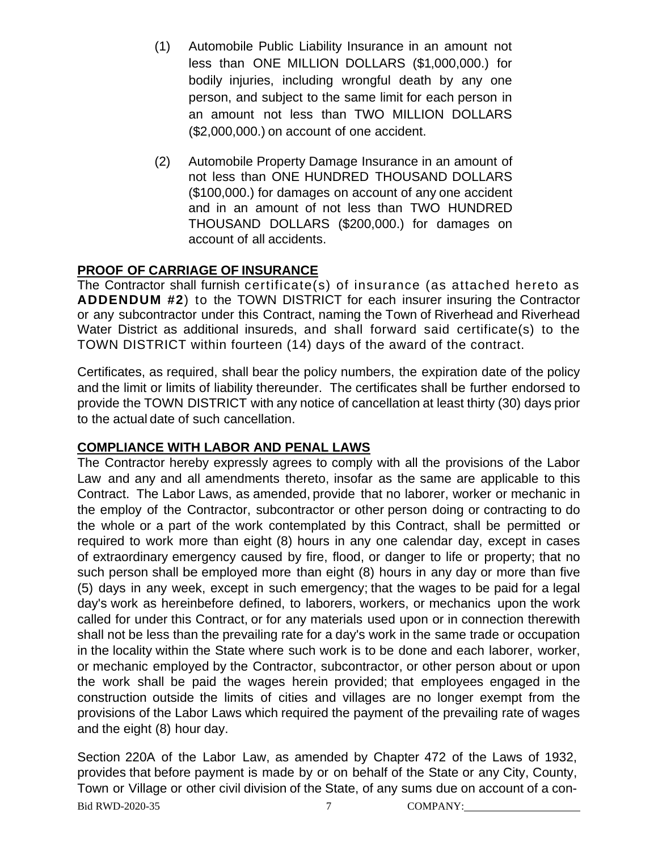- (1) Automobile Public Liability Insurance in an amount not less than ONE MILLION DOLLARS (\$1,000,000.) for bodily injuries, including wrongful death by any one person, and subject to the same limit for each person in an amount not less than TWO MILLION DOLLARS (\$2,000,000.) on account of one accident.
- (2) Automobile Property Damage Insurance in an amount of not less than ONE HUNDRED THOUSAND DOLLARS (\$100,000.) for damages on account of any one accident and in an amount of not less than TWO HUNDRED THOUSAND DOLLARS (\$200,000.) for damages on account of all accidents.

#### **PROOF OF CARRIAGE OF INSURANCE**

The Contractor shall furnish certificate(s) of insurance (as attached hereto as **ADDENDUM #2**) to the TOWN DISTRICT for each insurer insuring the Contractor or any subcontractor under this Contract, naming the Town of Riverhead and Riverhead Water District as additional insureds, and shall forward said certificate(s) to the TOWN DISTRICT within fourteen (14) days of the award of the contract.

Certificates, as required, shall bear the policy numbers, the expiration date of the policy and the limit or limits of liability thereunder. The certificates shall be further endorsed to provide the TOWN DISTRICT with any notice of cancellation at least thirty (30) days prior to the actual date of such cancellation.

#### **COMPLIANCE WITH LABOR AND PENAL LAWS**

The Contractor hereby expressly agrees to comply with all the provisions of the Labor Law and any and all amendments thereto, insofar as the same are applicable to this Contract. The Labor Laws, as amended, provide that no laborer, worker or mechanic in the employ of the Contractor, subcontractor or other person doing or contracting to do the whole or a part of the work contemplated by this Contract, shall be permitted or required to work more than eight (8) hours in any one calendar day, except in cases of extraordinary emergency caused by fire, flood, or danger to life or property; that no such person shall be employed more than eight (8) hours in any day or more than five (5) days in any week, except in such emergency; that the wages to be paid for a legal day's work as hereinbefore defined, to laborers, workers, or mechanics upon the work called for under this Contract, or for any materials used upon or in connection therewith shall not be less than the prevailing rate for a day's work in the same trade or occupation in the locality within the State where such work is to be done and each laborer, worker, or mechanic employed by the Contractor, subcontractor, or other person about or upon the work shall be paid the wages herein provided; that employees engaged in the construction outside the limits of cities and villages are no longer exempt from the provisions of the Labor Laws which required the payment of the prevailing rate of wages and the eight (8) hour day.

Bid RWD-2020-35 7 COMPANY: Section 220A of the Labor Law, as amended by Chapter 472 of the Laws of 1932, provides that before payment is made by or on behalf of the State or any City, County, Town or Village or other civil division of the State, of any sums due on account of a con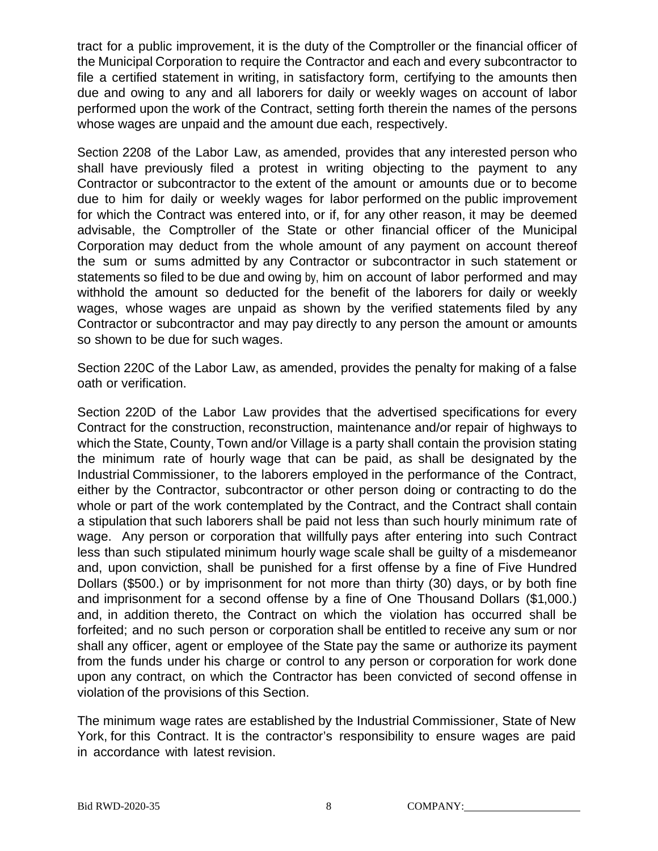tract for a public improvement, it is the duty of the Comptroller or the financial officer of the Municipal Corporation to require the Contractor and each and every subcontractor to file a certified statement in writing, in satisfactory form, certifying to the amounts then due and owing to any and all laborers for daily or weekly wages on account of labor performed upon the work of the Contract, setting forth therein the names of the persons whose wages are unpaid and the amount due each, respectively.

Section 2208 of the Labor Law, as amended, provides that any interested person who shall have previously filed a protest in writing objecting to the payment to any Contractor or subcontractor to the extent of the amount or amounts due or to become due to him for daily or weekly wages for labor performed on the public improvement for which the Contract was entered into, or if, for any other reason, it may be deemed advisable, the Comptroller of the State or other financial officer of the Municipal Corporation may deduct from the whole amount of any payment on account thereof the sum or sums admitted by any Contractor or subcontractor in such statement or statements so filed to be due and owing by, him on account of labor performed and may withhold the amount so deducted for the benefit of the laborers for daily or weekly wages, whose wages are unpaid as shown by the verified statements filed by any Contractor or subcontractor and may pay directly to any person the amount or amounts so shown to be due for such wages.

Section 220C of the Labor Law, as amended, provides the penalty for making of a false oath or verification.

Section 220D of the Labor Law provides that the advertised specifications for every Contract for the construction, reconstruction, maintenance and/or repair of highways to which the State, County, Town and/or Village is a party shall contain the provision stating the minimum rate of hourly wage that can be paid, as shall be designated by the Industrial Commissioner, to the laborers employed in the performance of the Contract, either by the Contractor, subcontractor or other person doing or contracting to do the whole or part of the work contemplated by the Contract, and the Contract shall contain a stipulation that such laborers shall be paid not less than such hourly minimum rate of wage. Any person or corporation that willfully pays after entering into such Contract less than such stipulated minimum hourly wage scale shall be guilty of a misdemeanor and, upon conviction, shall be punished for a first offense by a fine of Five Hundred Dollars (\$500.) or by imprisonment for not more than thirty (30) days, or by both fine and imprisonment for a second offense by a fine of One Thousand Dollars (\$1,000.) and, in addition thereto, the Contract on which the violation has occurred shall be forfeited; and no such person or corporation shall be entitled to receive any sum or nor shall any officer, agent or employee of the State pay the same or authorize its payment from the funds under his charge or control to any person or corporation for work done upon any contract, on which the Contractor has been convicted of second offense in violation of the provisions of this Section.

The minimum wage rates are established by the Industrial Commissioner, State of New York, for this Contract. It is the contractor's responsibility to ensure wages are paid in accordance with latest revision.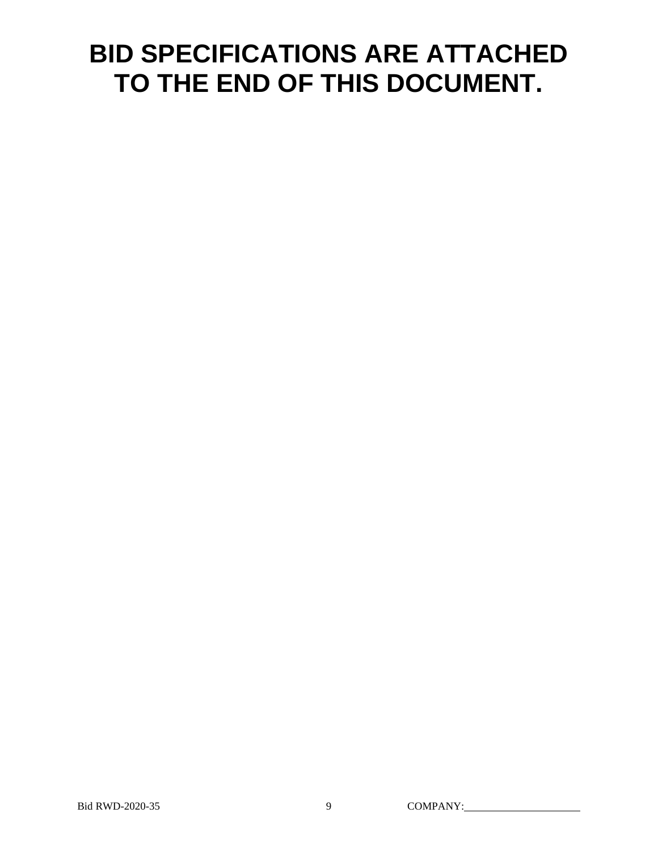## **BID SPECIFICATIONS ARE ATTACHED TO THE END OF THIS DOCUMENT.**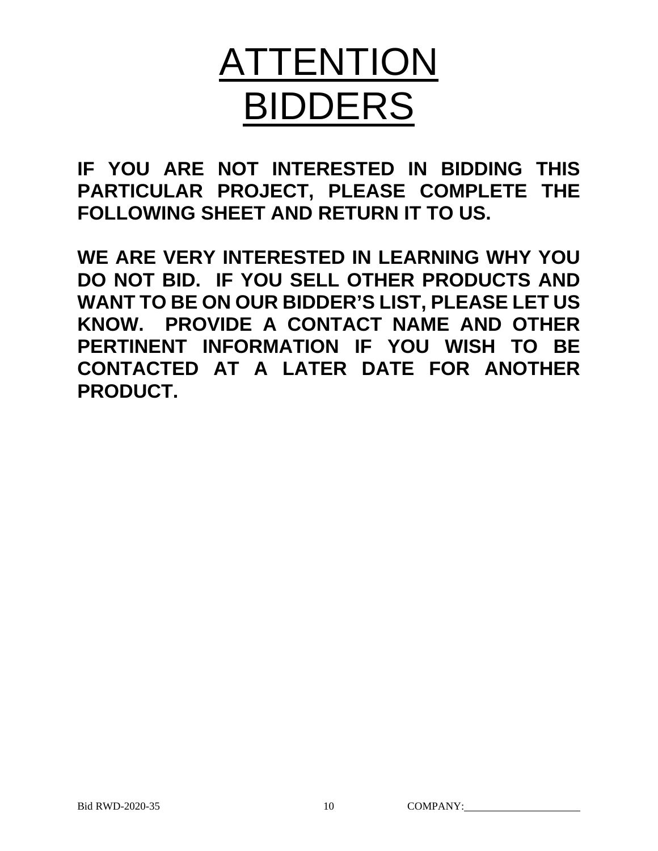# ATTENTION BIDDERS

**IF YOU ARE NOT INTERESTED IN BIDDING THIS PARTICULAR PROJECT, PLEASE COMPLETE THE FOLLOWING SHEET AND RETURN IT TO US.** 

**WE ARE VERY INTERESTED IN LEARNING WHY YOU DO NOT BID. IF YOU SELL OTHER PRODUCTS AND WANT TO BE ON OUR BIDDER'S LIST, PLEASE LET US KNOW. PROVIDE A CONTACT NAME AND OTHER PERTINENT INFORMATION IF YOU WISH TO BE CONTACTED AT A LATER DATE FOR ANOTHER PRODUCT.**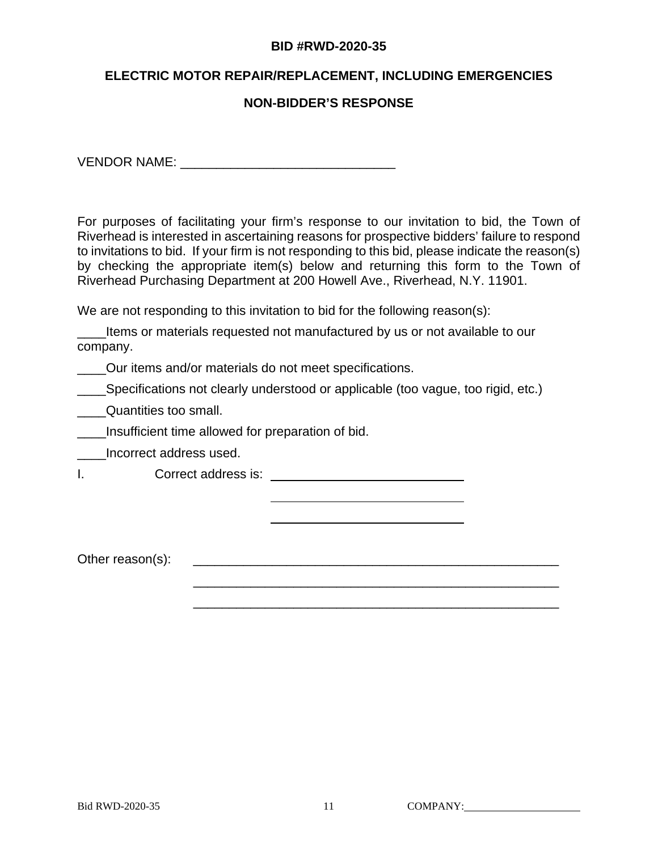#### **BID #RWD-2020-35**

#### **ELECTRIC MOTOR REPAIR/REPLACEMENT, INCLUDING EMERGENCIES**

#### **NON-BIDDER'S RESPONSE**

VENDOR NAME: \_\_\_\_\_\_\_\_\_\_\_\_\_\_\_\_\_\_\_\_\_\_\_\_\_\_\_\_\_\_

For purposes of facilitating your firm's response to our invitation to bid, the Town of Riverhead is interested in ascertaining reasons for prospective bidders' failure to respond to invitations to bid. If your firm is not responding to this bid, please indicate the reason(s) by checking the appropriate item(s) below and returning this form to the Town of Riverhead Purchasing Department at 200 Howell Ave., Riverhead, N.Y. 11901.

We are not responding to this invitation to bid for the following reason(s):

Items or materials requested not manufactured by us or not available to our company.

Our items and/or materials do not meet specifications.

**\_\_\_\_Specifications not clearly understood or applicable (too vague, too rigid, etc.)** 

\_\_\_\_\_\_\_\_\_\_\_\_\_\_\_\_\_\_\_\_\_\_\_\_\_\_\_\_\_\_\_\_\_\_\_\_\_\_\_\_\_\_\_\_\_\_\_\_\_\_\_

**\_\_\_\_Quantities too small.** 

Insufficient time allowed for preparation of bid.

\_\_\_\_Incorrect address used.

I. Correct address is: \_\_\_\_\_\_\_

Other reason(s): \_\_\_\_\_\_\_\_\_\_\_\_\_\_\_\_\_\_\_\_\_\_\_\_\_\_\_\_\_\_\_\_\_\_\_\_\_\_\_\_\_\_\_\_\_\_\_\_\_\_\_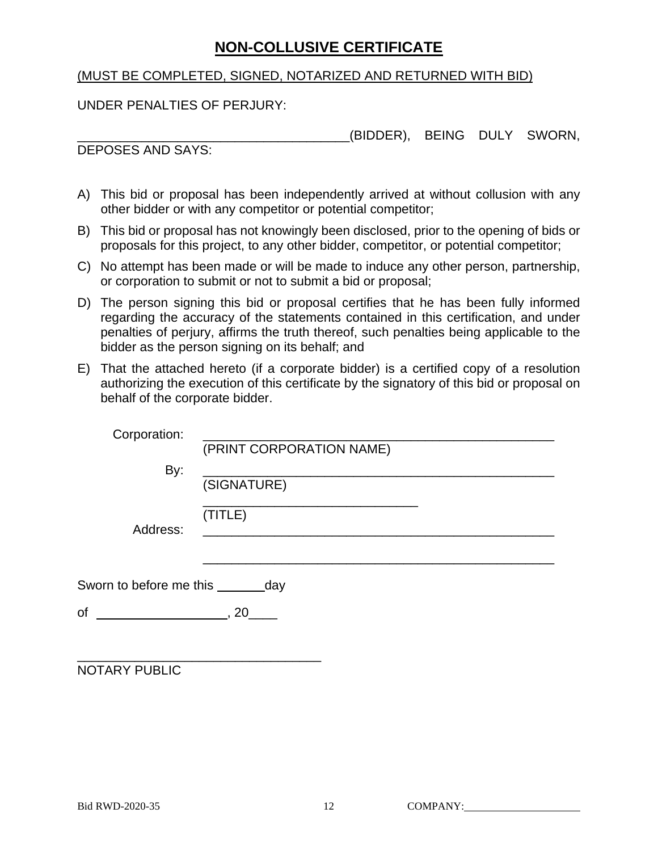## **NON-COLLUSIVE CERTIFICATE**

#### (MUST BE COMPLETED, SIGNED, NOTARIZED AND RETURNED WITH BID)

UNDER PENALTIES OF PERJURY:

\_\_\_\_\_\_\_\_\_\_\_\_\_\_\_\_\_\_\_\_\_\_\_\_\_\_\_\_\_\_\_\_\_\_\_\_\_\_(BIDDER), BEING DULY SWORN,

DEPOSES AND SAYS:

- A) This bid or proposal has been independently arrived at without collusion with any other bidder or with any competitor or potential competitor;
- B) This bid or proposal has not knowingly been disclosed, prior to the opening of bids or proposals for this project, to any other bidder, competitor, or potential competitor;
- C) No attempt has been made or will be made to induce any other person, partnership, or corporation to submit or not to submit a bid or proposal;
- D) The person signing this bid or proposal certifies that he has been fully informed regarding the accuracy of the statements contained in this certification, and under penalties of perjury, affirms the truth thereof, such penalties being applicable to the bidder as the person signing on its behalf; and
- E) That the attached hereto (if a corporate bidder) is a certified copy of a resolution authorizing the execution of this certificate by the signatory of this bid or proposal on behalf of the corporate bidder.

| Corporation:                         | (PRINT CORPORATION NAME) |
|--------------------------------------|--------------------------|
| By:                                  | (SIGNATURE)              |
| Address:                             | (TITLE)                  |
| Sworn to before me this ________ day |                          |
| of<br>$\sim$ , 20                    |                          |
| NOTARY PUBLIC                        |                          |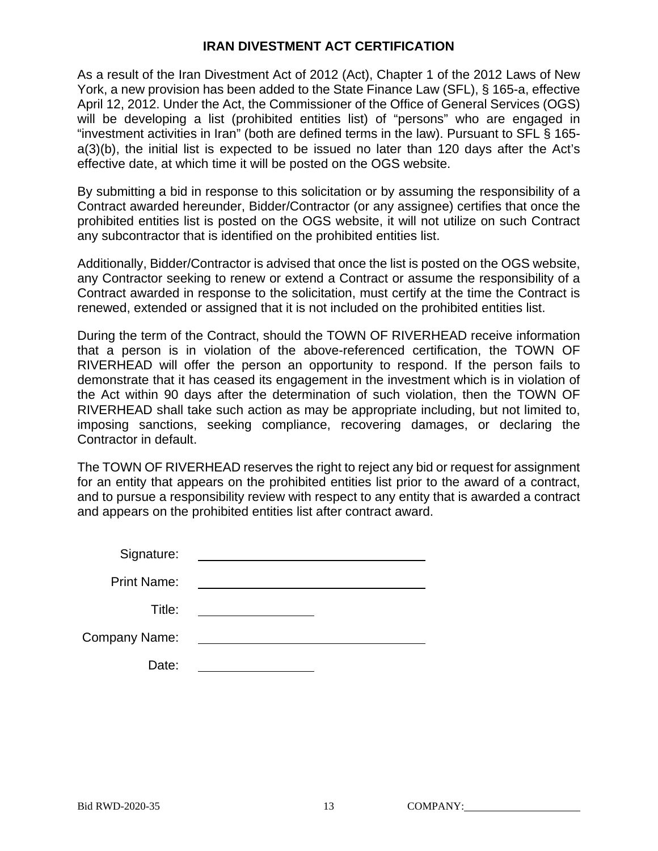#### **IRAN DIVESTMENT ACT CERTIFICATION**

As a result of the Iran Divestment Act of 2012 (Act), Chapter 1 of the 2012 Laws of New York, a new provision has been added to the State Finance Law (SFL), § 165-a, effective April 12, 2012. Under the Act, the Commissioner of the Office of General Services (OGS) will be developing a list (prohibited entities list) of "persons" who are engaged in "investment activities in Iran" (both are defined terms in the law). Pursuant to SFL § 165 a(3)(b), the initial list is expected to be issued no later than 120 days after the Act's effective date, at which time it will be posted on the OGS website.

By submitting a bid in response to this solicitation or by assuming the responsibility of a Contract awarded hereunder, Bidder/Contractor (or any assignee) certifies that once the prohibited entities list is posted on the OGS website, it will not utilize on such Contract any subcontractor that is identified on the prohibited entities list.

Additionally, Bidder/Contractor is advised that once the list is posted on the OGS website, any Contractor seeking to renew or extend a Contract or assume the responsibility of a Contract awarded in response to the solicitation, must certify at the time the Contract is renewed, extended or assigned that it is not included on the prohibited entities list.

During the term of the Contract, should the TOWN OF RIVERHEAD receive information that a person is in violation of the above-referenced certification, the TOWN OF RIVERHEAD will offer the person an opportunity to respond. If the person fails to demonstrate that it has ceased its engagement in the investment which is in violation of the Act within 90 days after the determination of such violation, then the TOWN OF RIVERHEAD shall take such action as may be appropriate including, but not limited to, imposing sanctions, seeking compliance, recovering damages, or declaring the Contractor in default.

The TOWN OF RIVERHEAD reserves the right to reject any bid or request for assignment for an entity that appears on the prohibited entities list prior to the award of a contract, and to pursue a responsibility review with respect to any entity that is awarded a contract and appears on the prohibited entities list after contract award.

Signature:

Print Name:

Title:

Company Name:

Date: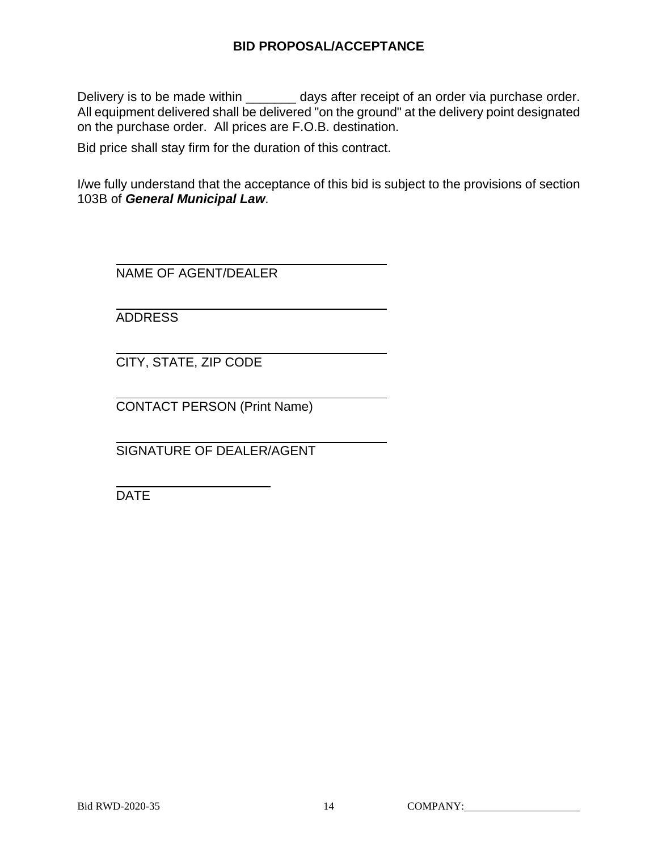#### **BID PROPOSAL/ACCEPTANCE**

Delivery is to be made within \_\_\_\_\_\_\_ days after receipt of an order via purchase order. All equipment delivered shall be delivered "on the ground" at the delivery point designated on the purchase order. All prices are F.O.B. destination.

Bid price shall stay firm for the duration of this contract.

I/we fully understand that the acceptance of this bid is subject to the provisions of section 103B of *General Municipal Law*.

NAME OF AGENT/DEALER

ADDRESS

CITY, STATE, ZIP CODE

CONTACT PERSON (Print Name)

SIGNATURE OF DEALER/AGENT

DATE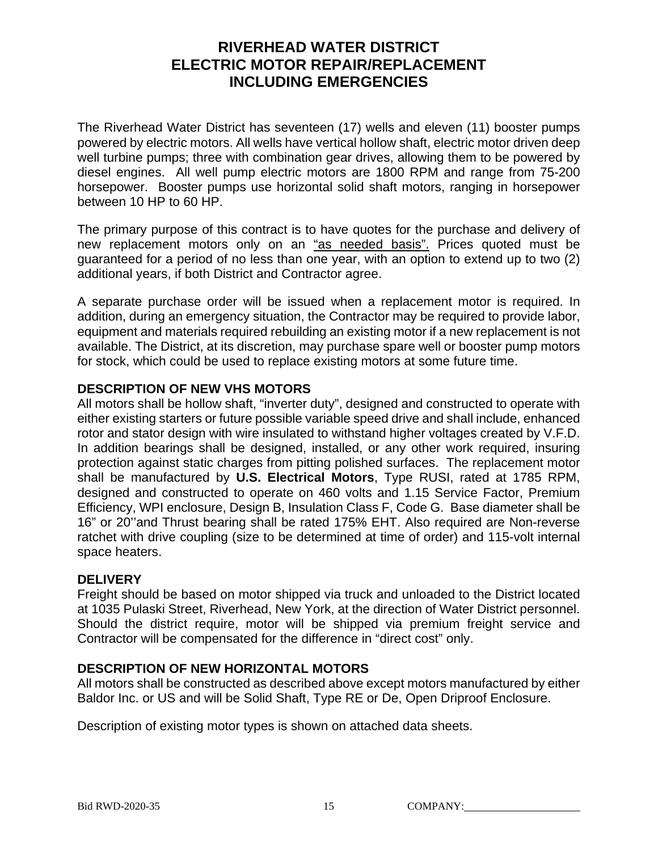## **RIVERHEAD WATER DISTRICT ELECTRIC MOTOR REPAIR/REPLACEMENT INCLUDING EMERGENCIES**

The Riverhead Water District has seventeen (17) wells and eleven (11) booster pumps powered by electric motors. All wells have vertical hollow shaft, electric motor driven deep well turbine pumps; three with combination gear drives, allowing them to be powered by diesel engines. All well pump electric motors are 1800 RPM and range from 75-200 horsepower. Booster pumps use horizontal solid shaft motors, ranging in horsepower between 10 HP to 60 HP.

The primary purpose of this contract is to have quotes for the purchase and delivery of new replacement motors only on an "as needed basis". Prices quoted must be guaranteed for a period of no less than one year, with an option to extend up to two (2) additional years, if both District and Contractor agree.

A separate purchase order will be issued when a replacement motor is required. In addition, during an emergency situation, the Contractor may be required to provide labor, equipment and materials required rebuilding an existing motor if a new replacement is not available. The District, at its discretion, may purchase spare well or booster pump motors for stock, which could be used to replace existing motors at some future time.

#### **DESCRIPTION OF NEW VHS MOTORS**

All motors shall be hollow shaft, "inverter duty", designed and constructed to operate with either existing starters or future possible variable speed drive and shall include, enhanced rotor and stator design with wire insulated to withstand higher voltages created by V.F.D. In addition bearings shall be designed, installed, or any other work required, insuring protection against static charges from pitting polished surfaces. The replacement motor shall be manufactured by **U.S. Electrical Motors**, Type RUSI, rated at 1785 RPM, designed and constructed to operate on 460 volts and 1.15 Service Factor, Premium Efficiency, WPI enclosure, Design B, Insulation Class F, Code G. Base diameter shall be 16" or 20''and Thrust bearing shall be rated 175% EHT. Also required are Non-reverse ratchet with drive coupling (size to be determined at time of order) and 115-volt internal space heaters.

#### **DELIVERY**

Freight should be based on motor shipped via truck and unloaded to the District located at 1035 Pulaski Street, Riverhead, New York, at the direction of Water District personnel. Should the district require, motor will be shipped via premium freight service and Contractor will be compensated for the difference in "direct cost" only.

#### **DESCRIPTION OF NEW HORIZONTAL MOTORS**

All motors shall be constructed as described above except motors manufactured by either Baldor Inc. or US and will be Solid Shaft, Type RE or De, Open Driproof Enclosure.

Description of existing motor types is shown on attached data sheets.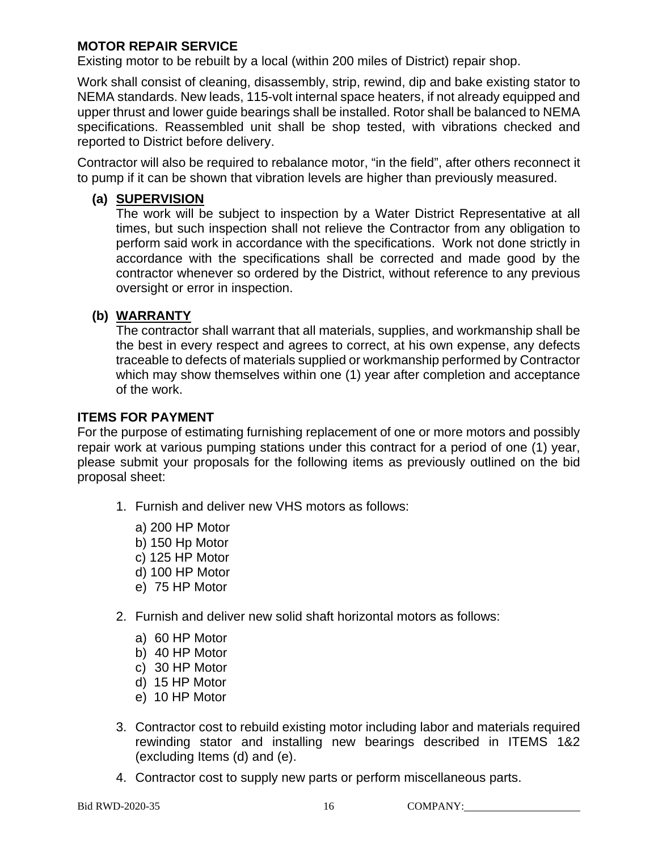#### **MOTOR REPAIR SERVICE**

Existing motor to be rebuilt by a local (within 200 miles of District) repair shop.

Work shall consist of cleaning, disassembly, strip, rewind, dip and bake existing stator to NEMA standards. New leads, 115-volt internal space heaters, if not already equipped and upper thrust and lower guide bearings shall be installed. Rotor shall be balanced to NEMA specifications. Reassembled unit shall be shop tested, with vibrations checked and reported to District before delivery.

Contractor will also be required to rebalance motor, "in the field", after others reconnect it to pump if it can be shown that vibration levels are higher than previously measured.

#### **(a) SUPERVISION**

The work will be subject to inspection by a Water District Representative at all times, but such inspection shall not relieve the Contractor from any obligation to perform said work in accordance with the specifications. Work not done strictly in accordance with the specifications shall be corrected and made good by the contractor whenever so ordered by the District, without reference to any previous oversight or error in inspection.

#### **(b) WARRANTY**

The contractor shall warrant that all materials, supplies, and workmanship shall be the best in every respect and agrees to correct, at his own expense, any defects traceable to defects of materials supplied or workmanship performed by Contractor which may show themselves within one (1) year after completion and acceptance of the work.

#### **ITEMS FOR PAYMENT**

For the purpose of estimating furnishing replacement of one or more motors and possibly repair work at various pumping stations under this contract for a period of one (1) year, please submit your proposals for the following items as previously outlined on the bid proposal sheet:

- 1. Furnish and deliver new VHS motors as follows:
	- a) 200 HP Motor
	- b) 150 Hp Motor
	- c) 125 HP Motor
	- d) 100 HP Motor
	- e) 75 HP Motor
- 2. Furnish and deliver new solid shaft horizontal motors as follows:
	- a) 60 HP Motor
	- b) 40 HP Motor
	- c) 30 HP Motor
	- d) 15 HP Motor
	- e) 10 HP Motor
- 3. Contractor cost to rebuild existing motor including labor and materials required rewinding stator and installing new bearings described in ITEMS 1&2 (excluding Items (d) and (e).
- 4. Contractor cost to supply new parts or perform miscellaneous parts.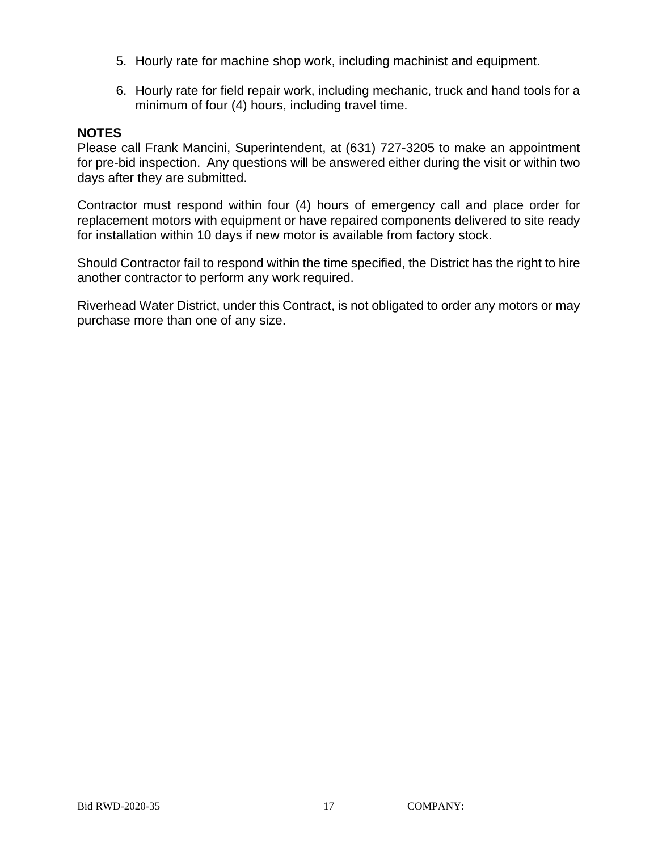- 5. Hourly rate for machine shop work, including machinist and equipment.
- 6. Hourly rate for field repair work, including mechanic, truck and hand tools for a minimum of four (4) hours, including travel time.

#### **NOTES**

Please call Frank Mancini, Superintendent, at (631) 727-3205 to make an appointment for pre-bid inspection. Any questions will be answered either during the visit or within two days after they are submitted.

Contractor must respond within four (4) hours of emergency call and place order for replacement motors with equipment or have repaired components delivered to site ready for installation within 10 days if new motor is available from factory stock.

Should Contractor fail to respond within the time specified, the District has the right to hire another contractor to perform any work required.

Riverhead Water District, under this Contract, is not obligated to order any motors or may purchase more than one of any size.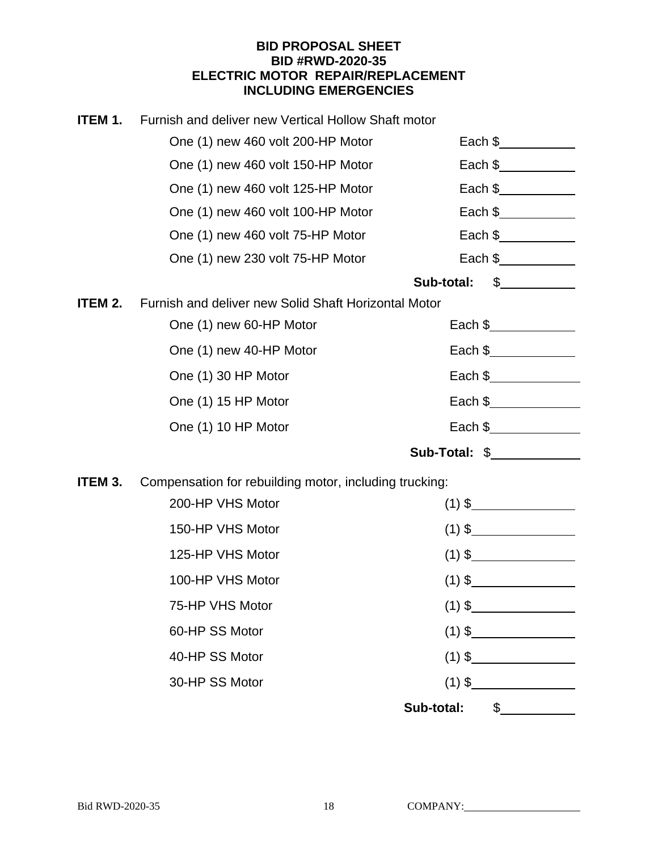#### **BID PROPOSAL SHEET BID #RWD-2020-35 ELECTRIC MOTOR REPAIR/REPLACEMENT INCLUDING EMERGENCIES**

| ITEM 1. | Furnish and deliver new Vertical Hollow Shaft motor    |                                                          |
|---------|--------------------------------------------------------|----------------------------------------------------------|
|         | One (1) new 460 volt 200-HP Motor                      | Each $\frac{1}{2}$                                       |
|         | One (1) new 460 volt 150-HP Motor                      | Each $\frac{1}{2}$ Each $\frac{1}{2}$                    |
|         | One (1) new 460 volt 125-HP Motor                      | Each $\frac{1}{2}$ Each $\frac{1}{2}$                    |
|         | One (1) new 460 volt 100-HP Motor                      | Each $\frac{1}{2}$ Each $\frac{1}{2}$                    |
|         | One (1) new 460 volt 75-HP Motor                       | Each $\frac{1}{2}$ Each $\frac{1}{2}$                    |
|         | One (1) new 230 volt 75-HP Motor                       | Each \$_____________                                     |
|         |                                                        | $\frac{1}{2}$<br>Sub-total:                              |
| ITEM 2. | Furnish and deliver new Solid Shaft Horizontal Motor   |                                                          |
|         | One (1) new 60-HP Motor                                | Each \$____________                                      |
|         | One (1) new 40-HP Motor                                | Each \$______________                                    |
|         | One (1) 30 HP Motor                                    | Each $\frac{1}{2}$                                       |
|         | One (1) 15 HP Motor                                    | Each \$______________                                    |
|         | One (1) 10 HP Motor                                    | Each $\frac{1}{2}$ Each $\frac{1}{2}$ Each $\frac{1}{2}$ |
|         |                                                        | Sub-Total: \$                                            |
| ITEM 3. | Compensation for rebuilding motor, including trucking: |                                                          |
|         | 200-HP VHS Motor                                       | $(1)$ \$                                                 |
|         | 150-HP VHS Motor                                       | $(1)$ \$                                                 |
|         | 125-HP VHS Motor                                       | $(1)$ \$                                                 |
|         | 100-HP VHS Motor                                       | $(1)$ \$                                                 |
|         | 75-HP VHS Motor                                        | $(1)$ \$                                                 |
|         | 60-HP SS Motor                                         | $(1)$ \$                                                 |
|         | 40-HP SS Motor                                         |                                                          |
|         | 30-HP SS Motor                                         | $(1)$ \$                                                 |
|         |                                                        | Sub-total: \$                                            |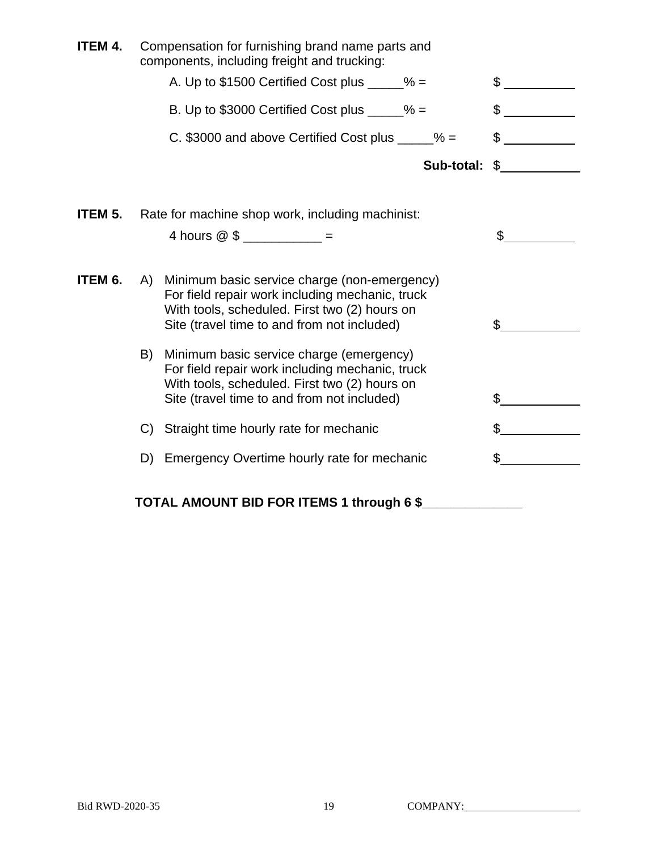| <b>ITEM 4.</b> |                               | Compensation for furnishing brand name parts and<br>components, including freight and trucking:                                                                                                 |            |                      |
|----------------|-------------------------------|-------------------------------------------------------------------------------------------------------------------------------------------------------------------------------------------------|------------|----------------------|
|                |                               | A. Up to $$1500$ Certified Cost plus _____% =                                                                                                                                                   |            | \$                   |
|                |                               | B. Up to \$3000 Certified Cost plus $\_\_\_\_\_$ % =                                                                                                                                            |            | \$                   |
|                |                               | C. \$3000 and above Certified Cost plus $\frac{6}{2}$ =                                                                                                                                         |            | $\frac{1}{\sqrt{2}}$ |
|                |                               |                                                                                                                                                                                                 | Sub-total: | $\frac{1}{2}$        |
| ITEM 5.        |                               | Rate for machine shop work, including machinist:                                                                                                                                                |            |                      |
|                | 4 hours $@$ \$ ____________ = |                                                                                                                                                                                                 |            | \$                   |
| ITEM 6.        | A)                            | Minimum basic service charge (non-emergency)<br>For field repair work including mechanic, truck<br>With tools, scheduled. First two (2) hours on<br>Site (travel time to and from not included) |            | \$                   |
|                | B)                            | Minimum basic service charge (emergency)<br>For field repair work including mechanic, truck<br>With tools, scheduled. First two (2) hours on<br>Site (travel time to and from not included)     |            | \$                   |
|                | C)                            | Straight time hourly rate for mechanic                                                                                                                                                          |            | \$                   |
|                |                               | D) Emergency Overtime hourly rate for mechanic                                                                                                                                                  |            | S                    |
|                |                               | TOTAL AMOUNT BID FOR ITEMS 1 through 6 \$                                                                                                                                                       |            |                      |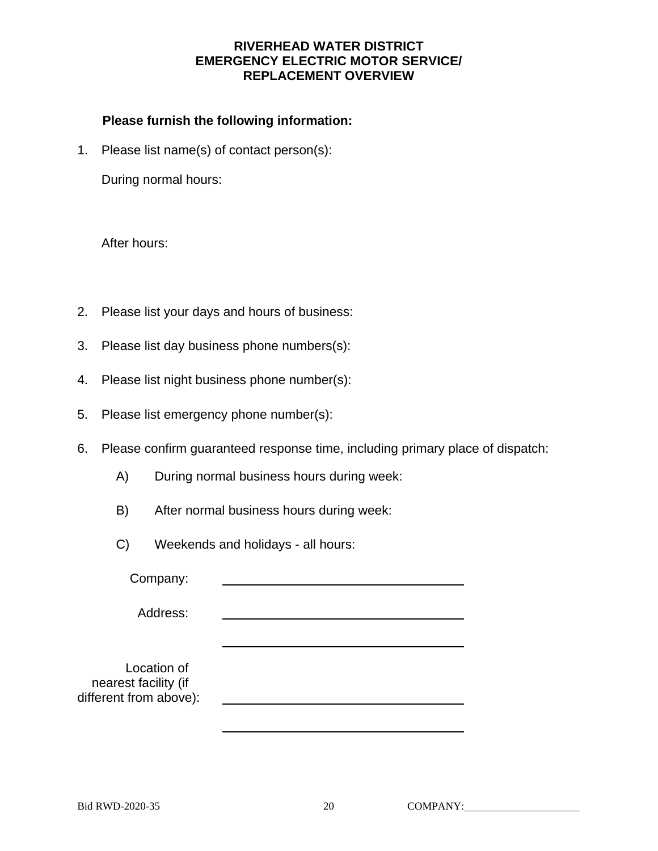#### **RIVERHEAD WATER DISTRICT EMERGENCY ELECTRIC MOTOR SERVICE/ REPLACEMENT OVERVIEW**

#### **Please furnish the following information:**

1. Please list name(s) of contact person(s):

During normal hours:

After hours:

- 2. Please list your days and hours of business:
- 3. Please list day business phone numbers(s):
- 4. Please list night business phone number(s):
- 5. Please list emergency phone number(s):
- 6. Please confirm guaranteed response time, including primary place of dispatch:
	- A) During normal business hours during week:
	- B) After normal business hours during week:
	- C) Weekends and holidays all hours:

Company:

Address:

 Location of nearest facility (if different from above):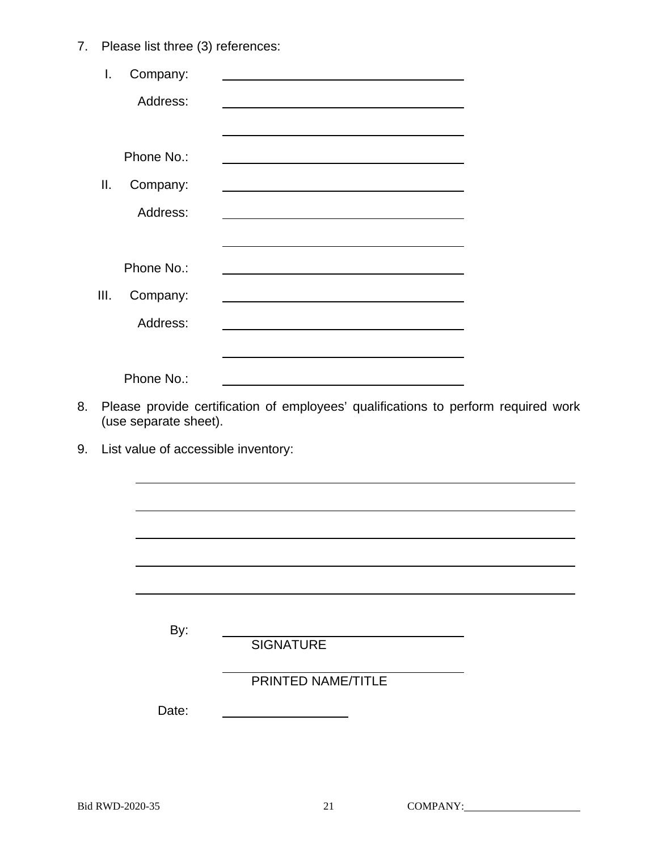7. Please list three (3) references:

|    | I.   | Company:              |                                                                                                                                                                                                                               |
|----|------|-----------------------|-------------------------------------------------------------------------------------------------------------------------------------------------------------------------------------------------------------------------------|
|    |      | Address:              |                                                                                                                                                                                                                               |
|    |      |                       |                                                                                                                                                                                                                               |
|    |      | Phone No.:            | the control of the control of the control of the control of the control of the control of the control of the control of the control of the control of the control of the control of the control of the control of the control |
|    | ΙΙ.  | Company:              |                                                                                                                                                                                                                               |
|    |      | Address:              |                                                                                                                                                                                                                               |
|    |      |                       |                                                                                                                                                                                                                               |
|    |      | Phone No.:            |                                                                                                                                                                                                                               |
|    | III. | Company:              |                                                                                                                                                                                                                               |
|    |      | Address:              | <u> 1980 - Johann Barnett, fransk politiker (d. 1980)</u>                                                                                                                                                                     |
|    |      |                       | <u> 1989 - Johann Stoff, amerikansk politiker (d. 1989)</u>                                                                                                                                                                   |
|    |      | Phone No.:            |                                                                                                                                                                                                                               |
| 8. |      | (use separate sheet). | Please provide certification of employees' qualifications to perform required work                                                                                                                                            |
| 9. |      |                       | List value of accessible inventory:                                                                                                                                                                                           |
|    |      |                       |                                                                                                                                                                                                                               |
|    |      |                       |                                                                                                                                                                                                                               |
|    |      |                       |                                                                                                                                                                                                                               |
|    |      |                       |                                                                                                                                                                                                                               |
|    |      |                       |                                                                                                                                                                                                                               |
|    |      |                       |                                                                                                                                                                                                                               |
|    |      | By:                   | <b>SIGNATURE</b>                                                                                                                                                                                                              |
|    |      |                       | PRINTED NAME/TITLE                                                                                                                                                                                                            |
|    |      | Date:                 |                                                                                                                                                                                                                               |
|    |      |                       |                                                                                                                                                                                                                               |